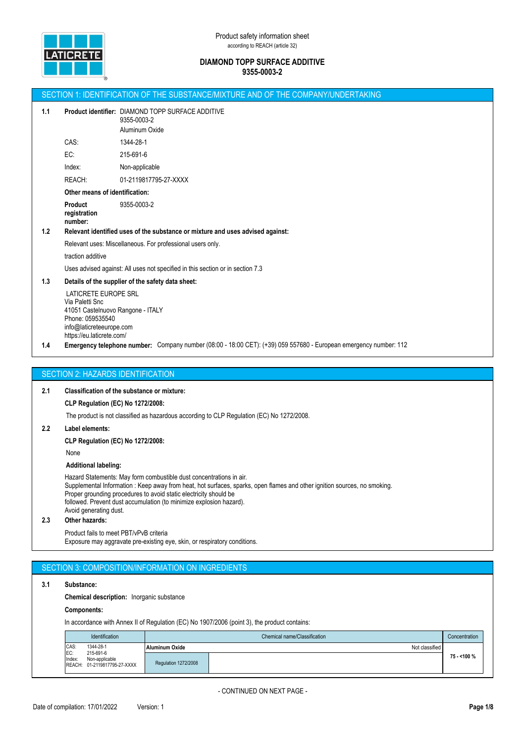

|     |                                                                                                                                                           | SECTION 1: IDENTIFICATION OF THE SUBSTANCE/MIXTURE AND OF THE COMPANY/UNDERTAKING                                 |
|-----|-----------------------------------------------------------------------------------------------------------------------------------------------------------|-------------------------------------------------------------------------------------------------------------------|
| 1.1 |                                                                                                                                                           | Product identifier: DIAMOND TOPP SURFACE ADDITIVE<br>9355-0003-2<br>Aluminum Oxide                                |
|     | CAS:                                                                                                                                                      | 1344-28-1                                                                                                         |
|     | EC:                                                                                                                                                       | 215-691-6                                                                                                         |
|     | Index:                                                                                                                                                    | Non-applicable                                                                                                    |
|     | REACH:                                                                                                                                                    | 01-2119817795-27-XXXX                                                                                             |
|     | Other means of identification:                                                                                                                            |                                                                                                                   |
| 1.2 | <b>Product</b><br>registration<br>number:                                                                                                                 | 9355-0003-2<br>Relevant identified uses of the substance or mixture and uses advised against:                     |
|     |                                                                                                                                                           | Relevant uses: Miscellaneous. For professional users only.                                                        |
|     | traction additive                                                                                                                                         |                                                                                                                   |
|     |                                                                                                                                                           | Uses advised against: All uses not specified in this section or in section 7.3                                    |
| 1.3 |                                                                                                                                                           | Details of the supplier of the safety data sheet:                                                                 |
|     | LATICRETE EUROPE SRL<br>Via Paletti Snc<br>41051 Castelnuovo Rangone - ITALY<br>Phone: 059535540<br>info@laticreteeurope.com<br>https://eu.laticrete.com/ |                                                                                                                   |
| 1.4 |                                                                                                                                                           | Emergency telephone number: Company number (08:00 - 18:00 CET): (+39) 059 557680 - European emergency number: 112 |
|     |                                                                                                                                                           |                                                                                                                   |
|     |                                                                                                                                                           | <b>SECTION 2: HAZARDS IDENTIFICATION</b>                                                                          |
| 2.1 |                                                                                                                                                           | <b>Classification of the substance or mixture:</b>                                                                |
|     | <b>CLP Regulation (EC) No 1272/2008:</b>                                                                                                                  |                                                                                                                   |
|     |                                                                                                                                                           | The product is not classified as hazardous according to CLP Regulation (EC) No 1272/2008.                         |
| 2.2 | Label elements:                                                                                                                                           |                                                                                                                   |

**CLP Regulation (EC) No 1272/2008:**

None

## **Additional labeling:**

Hazard Statements: May form combustible dust concentrations in air. Supplemental Information : Keep away from heat, hot surfaces, sparks, open flames and other ignition sources, no smoking. Proper grounding procedures to avoid static electricity should be followed. Prevent dust accumulation (to minimize explosion hazard). Avoid generating dust.

#### **2.3 Other hazards:**

Product fails to meet PBT/vPvB criteria Exposure may aggravate pre-existing eye, skin, or respiratory conditions.

# SECTION 3: COMPOSITION/INFORMATION ON INGREDIENTS

#### **3.1 Substance:**

**Chemical description:** Inorganic substance

## **Components:**

In accordance with Annex II of Regulation (EC) No 1907/2006 (point 3), the product contains:

|               | <b>Identification</b>                                       | Chemical name/Classification |                |              |  |
|---------------|-------------------------------------------------------------|------------------------------|----------------|--------------|--|
| CAS:          | 1344-28-1                                                   | <b>Aluminum Oxide</b>        | Not classified |              |  |
| EC:<br>Index: | 215-691-6<br>Non-applicable<br>REACH: 01-2119817795-27-XXXX | Regulation 1272/2008         |                | 75 - < 100 % |  |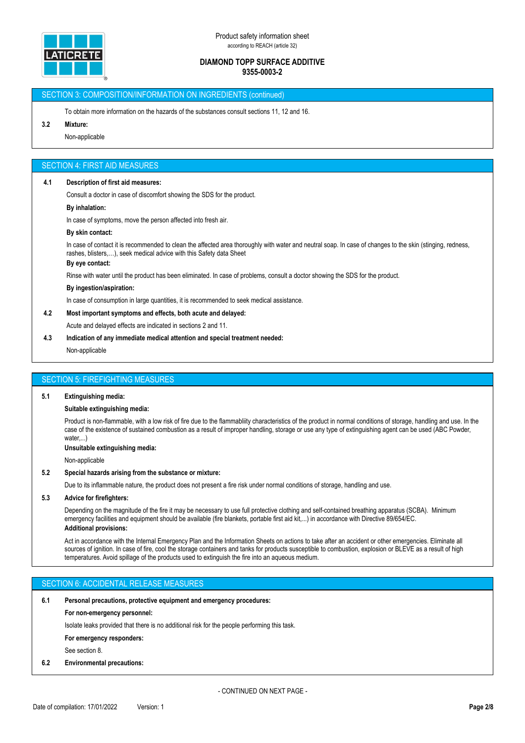

## SECTION 3: COMPOSITION/INFORMATION ON INGREDIENTS (continued)

To obtain more information on the hazards of the substances consult sections 11, 12 and 16.

## **3.2 Mixture:**

Non-applicable

#### SECTION 4: FIRST AID MEASURES

#### **4.1 Description of first aid measures:**

Consult a doctor in case of discomfort showing the SDS for the product.

#### **By inhalation:**

In case of symptoms, move the person affected into fresh air.

#### **By skin contact:**

In case of contact it is recommended to clean the affected area thoroughly with water and neutral soap. In case of changes to the skin (stinging, redness, rashes, blisters,…), seek medical advice with this Safety data Sheet

#### **By eye contact:**

Rinse with water until the product has been eliminated. In case of problems, consult a doctor showing the SDS for the product.

#### **By ingestion/aspiration:**

In case of consumption in large quantities, it is recommended to seek medical assistance.

## **4.2 Most important symptoms and effects, both acute and delayed:**

Acute and delayed effects are indicated in sections 2 and 11.

**4.3 Indication of any immediate medical attention and special treatment needed:**

Non-applicable

#### SECTION 5: FIREFIGHTING MEASURES

#### **5.1 Extinguishing media:**

#### **Suitable extinguishing media:**

Product is non-flammable, with a low risk of fire due to the flammabliity characteristics of the product in normal conditions of storage, handling and use. In the case of the existence of sustained combustion as a result of improper handling, storage or use any type of extinguishing agent can be used (ABC Powder, water....

**Unsuitable extinguishing media:**

Non-applicable

### **5.2 Special hazards arising from the substance or mixture:**

Due to its inflammable nature, the product does not present a fire risk under normal conditions of storage, handling and use.

#### **5.3 Advice for firefighters:**

Depending on the magnitude of the fire it may be necessary to use full protective clothing and self-contained breathing apparatus (SCBA). Minimum emergency facilities and equipment should be available (fire blankets, portable first aid kit,...) in accordance with Directive 89/654/EC. **Additional provisions:**

Act in accordance with the Internal Emergency Plan and the Information Sheets on actions to take after an accident or other emergencies. Eliminate all sources of ignition. In case of fire, cool the storage containers and tanks for products susceptible to combustion, explosion or BLEVE as a result of high temperatures. Avoid spillage of the products used to extinguish the fire into an aqueous medium.

# SECTION 6: ACCIDENTAL RELEASE MEASURES

#### **6.1 Personal precautions, protective equipment and emergency procedures:**

#### **For non-emergency personnel:**

Isolate leaks provided that there is no additional risk for the people performing this task.

#### **For emergency responders:**

See section 8.

#### **6.2 Environmental precautions:**

- CONTINUED ON NEXT PAGE -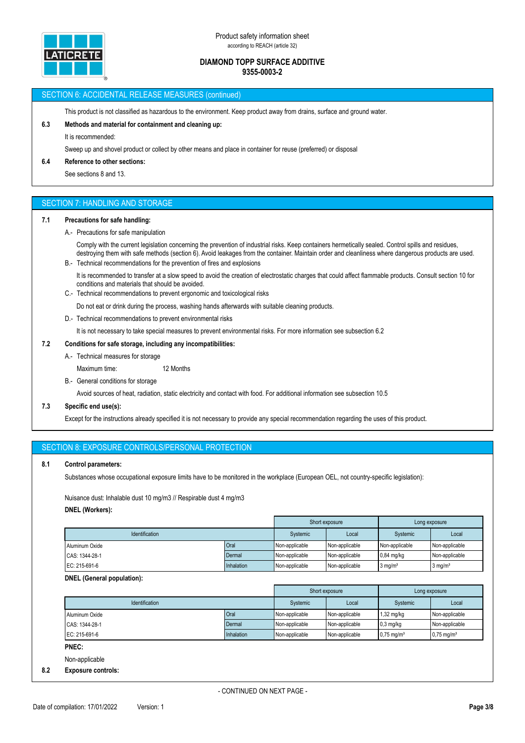

#### SECTION 6: ACCIDENTAL RELEASE MEASURES (continued)

This product is not classified as hazardous to the environment. Keep product away from drains, surface and ground water.

## **6.3 Methods and material for containment and cleaning up:**

It is recommended:

Sweep up and shovel product or collect by other means and place in container for reuse (preferred) or disposal

#### **6.4 Reference to other sections:**

See sections 8 and 13.

# SECTION 7: HANDLING AND STORAGE

## **7.1 Precautions for safe handling:**

A.- Precautions for safe manipulation

Comply with the current legislation concerning the prevention of industrial risks. Keep containers hermetically sealed. Control spills and residues, destroying them with safe methods (section 6). Avoid leakages from the container. Maintain order and cleanliness where dangerous products are used. B.- Technical recommendations for the prevention of fires and explosions

- It is recommended to transfer at a slow speed to avoid the creation of electrostatic charges that could affect flammable products. Consult section 10 for conditions and materials that should be avoided.
- C.- Technical recommendations to prevent ergonomic and toxicological risks
	- Do not eat or drink during the process, washing hands afterwards with suitable cleaning products.
- D.- Technical recommendations to prevent environmental risks

It is not necessary to take special measures to prevent environmental risks. For more information see subsection 6.2

## **7.2 Conditions for safe storage, including any incompatibilities:**

- A.- Technical measures for storage
	- Maximum time: 12 Months
- B.- General conditions for storage

Avoid sources of heat, radiation, static electricity and contact with food. For additional information see subsection 10.5

## **7.3 Specific end use(s):**

Except for the instructions already specified it is not necessary to provide any special recommendation regarding the uses of this product.

| SECTION 8: EXPOSURE CONTROLS/PERSONAL PROTECTION |
|--------------------------------------------------|
|--------------------------------------------------|

#### **8.1 Control parameters:**

Substances whose occupational exposure limits have to be monitored in the workplace (European OEL, not country-specific legislation):

Nuisance dust: Inhalable dust 10 mg/m3 // Respirable dust 4 mg/m3 **DNEL (Workers):**

|                       |             |                 | Short exposure |                    | Long exposure         |
|-----------------------|-------------|-----------------|----------------|--------------------|-----------------------|
| <b>Identification</b> |             | <b>Systemic</b> | Local          | Systemic           | Local                 |
| Aluminum Oxide        | <b>Oral</b> | Non-applicable  | Non-applicable | Non-applicable     | Non-applicable        |
| CAS: 1344-28-1        | Dermal      | Non-applicable  | Non-applicable | $0.84$ mg/kg       | Non-applicable        |
| EC: 215-691-6         | Inhalation  | Non-applicable  | Non-applicable | $3 \text{ mg/m}^3$ | $3$ mg/m <sup>3</sup> |

#### **DNEL (General population):**

|                       |            | Short exposure<br>Long exposure |                |                          |                          |
|-----------------------|------------|---------------------------------|----------------|--------------------------|--------------------------|
| <b>Identification</b> |            | Systemic                        | Local          | Systemic                 | Local                    |
| Aluminum Oxide        | Oral       | Non-applicable                  | Non-applicable | 1,32 mg/kg               | Non-applicable           |
| CAS: 1344-28-1        | Dermal     | Non-applicable                  | Non-applicable | $0,3$ mg/kg              | Non-applicable           |
| EC: 215-691-6         | Inhalation | Non-applicable                  | Non-applicable | $0.75$ mg/m <sup>3</sup> | $0.75$ mg/m <sup>3</sup> |

**PNEC:**

Non-applicable

## **8.2 Exposure controls:**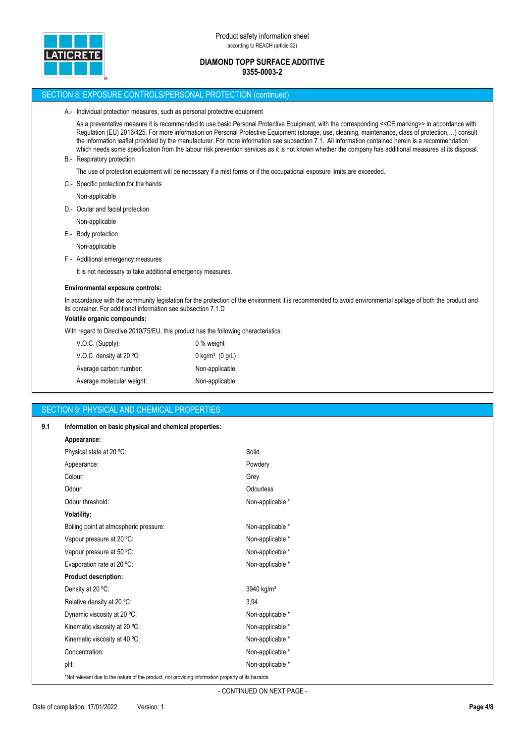

# SECTION 8: EXPOSURE CONTROLS/PERSONAL PROTECTION (continued) A.- Individual protection measures, such as personal protective equipment As a preventative measure it is recommended to use basic Personal Protective Equipment, with the corresponding <<CE marking>> in accordance with Regulation (EU) 2016/425. For more information on Personal Protective Equipment (storage, use, cleaning, maintenance, class of protection,…) consult the information leaflet provided by the manufacturer. For more information see subsection 7.1. All information contained herein is a recommendation which needs some specification from the labour risk prevention services as it is not known whether the company has additional measures at its disposal. B.- Respiratory protection The use of protection equipment will be necessary if a mist forms or if the occupational exposure limits are exceeded. C.- Specific protection for the hands Non-applicable D.- Ocular and facial protection Non-applicable E.- Body protection Non-applicable F.- Additional emergency measures It is not necessary to take additional emergency measures. **Environmental exposure controls:** In accordance with the community legislation for the protection of the environment it is recommended to avoid environmental spillage of both the product and its container. For additional information see subsection 7.1.D **Volatile organic compounds:** With regard to Directive 2010/75/EU, this product has the following characteristics: V.O.C. (Supply): 0 % weight V.O.C. density at 20 °C: 0 kg/m<sup>3</sup> (0 g/L) Average carbon number: Non-applicable Average molecular weight: Non-applicable

# SECTION 9: PHYSICAL AND CHEMICAL PROPERTIES

| 9.1 | Information on basic physical and chemical properties:                                             |                        |
|-----|----------------------------------------------------------------------------------------------------|------------------------|
|     | Appearance:                                                                                        |                        |
|     | Physical state at 20 °C:                                                                           | Solid                  |
|     | Appearance:                                                                                        | Powdery                |
|     | Colour:                                                                                            | Grey                   |
|     | Odour:                                                                                             | Odourless              |
|     | Odour threshold:                                                                                   | Non-applicable *       |
|     | <b>Volatility:</b>                                                                                 |                        |
|     | Boiling point at atmospheric pressure:                                                             | Non-applicable *       |
|     | Vapour pressure at 20 °C:                                                                          | Non-applicable *       |
|     | Vapour pressure at 50 °C:                                                                          | Non-applicable *       |
|     | Evaporation rate at 20 °C:                                                                         | Non-applicable *       |
|     | <b>Product description:</b>                                                                        |                        |
|     | Density at 20 °C:                                                                                  | 3940 kg/m <sup>3</sup> |
|     | Relative density at 20 °C:                                                                         | 3,94                   |
|     | Dynamic viscosity at 20 °C:                                                                        | Non-applicable *       |
|     | Kinematic viscosity at 20 °C:                                                                      | Non-applicable *       |
|     | Kinematic viscosity at 40 °C:                                                                      | Non-applicable *       |
|     | Concentration:                                                                                     | Non-applicable *       |
|     | pH:                                                                                                | Non-applicable *       |
|     | *Not relevant due to the nature of the product, not providing information property of its hazards. |                        |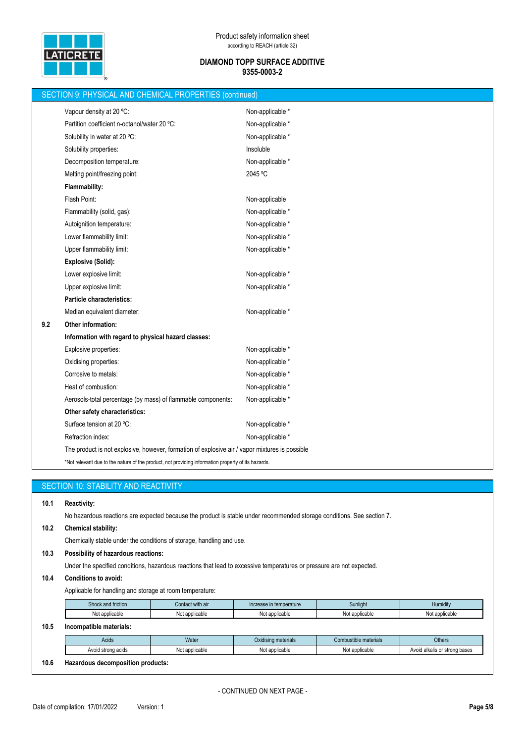

|     | SECTION 9: PHYSICAL AND CHEMICAL PROPERTIES (continued)                                            |                  |  |  |  |
|-----|----------------------------------------------------------------------------------------------------|------------------|--|--|--|
|     | Vapour density at 20 °C:                                                                           | Non-applicable * |  |  |  |
|     | Partition coefficient n-octanol/water 20 °C:                                                       | Non-applicable * |  |  |  |
|     | Solubility in water at 20 °C:                                                                      | Non-applicable * |  |  |  |
|     | Solubility properties:                                                                             | Insoluble        |  |  |  |
|     | Decomposition temperature:                                                                         | Non-applicable * |  |  |  |
|     | Melting point/freezing point:                                                                      | 2045 °C          |  |  |  |
|     | Flammability:                                                                                      |                  |  |  |  |
|     | Flash Point:                                                                                       | Non-applicable   |  |  |  |
|     | Flammability (solid, gas):                                                                         | Non-applicable * |  |  |  |
|     | Autoignition temperature:                                                                          | Non-applicable * |  |  |  |
|     | Lower flammability limit:                                                                          | Non-applicable * |  |  |  |
|     | Upper flammability limit:                                                                          | Non-applicable * |  |  |  |
|     | <b>Explosive (Solid):</b>                                                                          |                  |  |  |  |
|     | Lower explosive limit:                                                                             | Non-applicable * |  |  |  |
|     | Upper explosive limit:                                                                             | Non-applicable * |  |  |  |
|     | Particle characteristics:                                                                          |                  |  |  |  |
|     | Median equivalent diameter:                                                                        | Non-applicable * |  |  |  |
| 9.2 | Other information:                                                                                 |                  |  |  |  |
|     | Information with regard to physical hazard classes:                                                |                  |  |  |  |
|     | Explosive properties:                                                                              | Non-applicable * |  |  |  |
|     | Oxidising properties:                                                                              | Non-applicable * |  |  |  |
|     | Corrosive to metals:                                                                               | Non-applicable * |  |  |  |
|     | Heat of combustion:                                                                                | Non-applicable * |  |  |  |
|     | Aerosols-total percentage (by mass) of flammable components:                                       | Non-applicable * |  |  |  |
|     | Other safety characteristics:                                                                      |                  |  |  |  |
|     | Surface tension at 20 °C:                                                                          | Non-applicable * |  |  |  |
|     | Refraction index:                                                                                  | Non-applicable * |  |  |  |
|     | The product is not explosive, however, formation of explosive air / vapor mixtures is possible     |                  |  |  |  |
|     | *Not relevant due to the nature of the product, not providing information property of its hazards. |                  |  |  |  |

|      | SECTION 10: STABILITY AND REACTIVITY                                                                                                         |                |                     |                       |                               |  |  |  |  |
|------|----------------------------------------------------------------------------------------------------------------------------------------------|----------------|---------------------|-----------------------|-------------------------------|--|--|--|--|
| 10.1 | <b>Reactivity:</b><br>No hazardous reactions are expected because the product is stable under recommended storage conditions. See section 7. |                |                     |                       |                               |  |  |  |  |
| 10.2 | <b>Chemical stability:</b>                                                                                                                   |                |                     |                       |                               |  |  |  |  |
|      | Chemically stable under the conditions of storage, handling and use.                                                                         |                |                     |                       |                               |  |  |  |  |
| 10.3 | Possibility of hazardous reactions:                                                                                                          |                |                     |                       |                               |  |  |  |  |
|      | Under the specified conditions, hazardous reactions that lead to excessive temperatures or pressure are not expected.                        |                |                     |                       |                               |  |  |  |  |
| 10.4 | <b>Conditions to avoid:</b>                                                                                                                  |                |                     |                       |                               |  |  |  |  |
|      | Applicable for handling and storage at room temperature:                                                                                     |                |                     |                       |                               |  |  |  |  |
|      | Shock and friction<br>Contact with air<br>Sunlight<br>Humidity<br>Increase in temperature                                                    |                |                     |                       |                               |  |  |  |  |
|      | Not applicable                                                                                                                               | Not applicable | Not applicable      | Not applicable        | Not applicable                |  |  |  |  |
| 10.5 | Incompatible materials:                                                                                                                      |                |                     |                       |                               |  |  |  |  |
|      | Acids                                                                                                                                        | Water          | Oxidising materials | Combustible materials | <b>Others</b>                 |  |  |  |  |
|      | Avoid strong acids                                                                                                                           | Not applicable | Not applicable      | Not applicable        | Avoid alkalis or strong bases |  |  |  |  |
| 10.6 | Hazardous decomposition products:                                                                                                            |                |                     |                       |                               |  |  |  |  |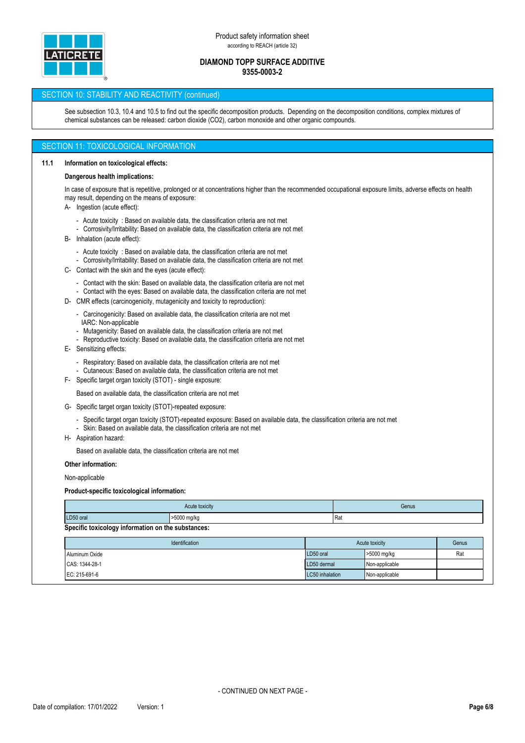

## SECTION 10: STABILITY AND REACTIVITY (continued)

See subsection 10.3, 10.4 and 10.5 to find out the specific decomposition products. Depending on the decomposition conditions, complex mixtures of chemical substances can be released: carbon dioxide (CO2), carbon monoxide and other organic compounds.

## SECTION 11: TOXICOLOGICAL INFORMATION

#### **11.1 Information on toxicological effects:**

#### **Dangerous health implications:**

In case of exposure that is repetitive, prolonged or at concentrations higher than the recommended occupational exposure limits, adverse effects on health may result, depending on the means of exposure:

- A- Ingestion (acute effect):
	- Acute toxicity : Based on available data, the classification criteria are not met
	- Corrosivity/Irritability: Based on available data, the classification criteria are not met
- B- Inhalation (acute effect):
	- Acute toxicity : Based on available data, the classification criteria are not met
	- Corrosivity/Irritability: Based on available data, the classification criteria are not met
- C- Contact with the skin and the eyes (acute effect):
	- Contact with the skin: Based on available data, the classification criteria are not met
	- Contact with the eyes: Based on available data, the classification criteria are not met
- D- CMR effects (carcinogenicity, mutagenicity and toxicity to reproduction):
	- Carcinogenicity: Based on available data, the classification criteria are not met
	- IARC: Non-applicable
	- Mutagenicity: Based on available data, the classification criteria are not met
	- Reproductive toxicity: Based on available data, the classification criteria are not met
- E- Sensitizing effects:
	- Respiratory: Based on available data, the classification criteria are not met
	- Cutaneous: Based on available data, the classification criteria are not met
- F- Specific target organ toxicity (STOT) single exposure:

Based on available data, the classification criteria are not met

- G- Specific target organ toxicity (STOT)-repeated exposure:
	- Specific target organ toxicity (STOT)-repeated exposure: Based on available data, the classification criteria are not met
	- Skin: Based on available data, the classification criteria are not met
- H- Aspiration hazard:

Based on available data, the classification criteria are not met

**Other information:**

Non-applicable

#### **Product-specific toxicological information:**

|                                                    | Acute toxicity | Genus |  |  |  |
|----------------------------------------------------|----------------|-------|--|--|--|
| LD50 oral                                          | >5000 mg/kg    | IRai  |  |  |  |
| Specific toxicology information on the substances: |                |       |  |  |  |

| <b>Identification</b> | Acute toxicity  |                | Genus |
|-----------------------|-----------------|----------------|-------|
| Aluminum Oxide        | LD50 oral       | >5000 mg/kg    | Rat   |
| CAS: 1344-28-1        | LD50 dermal     | Non-applicable |       |
| EC: 215-691-6         | LC50 inhalation | Non-applicable |       |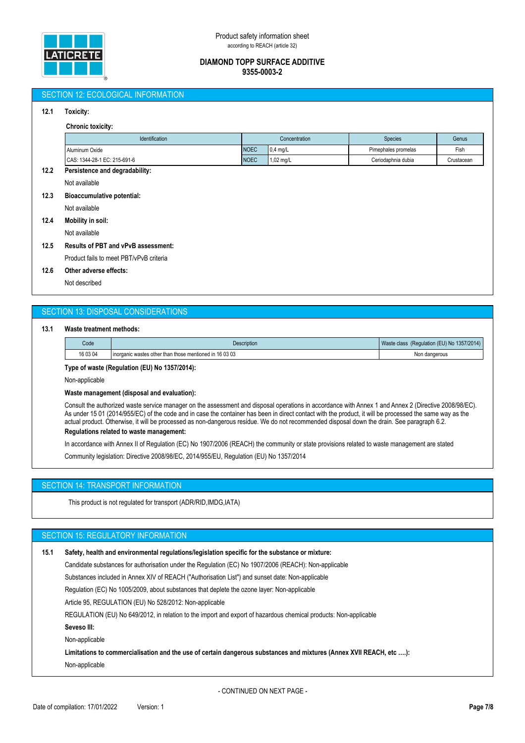

## SECTION 12: ECOLOGICAL INFORMATION

### **12.1 Toxicity:**

#### **Chronic toxicity:**

|      | -----------------              |             |                     |                     |            |  |
|------|--------------------------------|-------------|---------------------|---------------------|------------|--|
|      | <b>Identification</b>          |             | Concentration       | <b>Species</b>      | Genus      |  |
|      | Aluminum Oxide                 | <b>NOEC</b> | $0.4$ mg/L          | Pimephales promelas | Fish       |  |
|      | CAS: 1344-28-1 EC: 215-691-6   | <b>NOEC</b> | $1,02 \text{ mg/L}$ | Ceriodaphnia dubia  | Crustacean |  |
| 12.2 | Persistence and degradability: |             |                     |                     |            |  |
|      | Not available                  |             |                     |                     |            |  |

#### **12.3 Bioaccumulative potential:**

Not available

**12.4 Mobility in soil:**

Not available

## **12.5 Results of PBT and vPvB assessment:**

Product fails to meet PBT/vPvB criteria

## **12.6 Other adverse effects:**

Not described

# SECTION 13: DISPOSAL CONSIDERATIONS

#### **13.1 Waste treatment methods:**

| Code     | <b>Description</b>                                      | (Regulation (EU) No 1357/2014)<br>Waste class |
|----------|---------------------------------------------------------|-----------------------------------------------|
| 16 03 04 | inorganic wastes other than those mentioned in 16 03 03 | Non dangerous                                 |

**Type of waste (Regulation (EU) No 1357/2014):**

Non-applicable

#### **Waste management (disposal and evaluation):**

Consult the authorized waste service manager on the assessment and disposal operations in accordance with Annex 1 and Annex 2 (Directive 2008/98/EC). As under 15 01 (2014/955/EC) of the code and in case the container has been in direct contact with the product, it will be processed the same way as the actual product. Otherwise, it will be processed as non-dangerous residue. We do not recommended disposal down the drain. See paragraph 6.2. **Regulations related to waste management:**

In accordance with Annex II of Regulation (EC) No 1907/2006 (REACH) the community or state provisions related to waste management are stated Community legislation: Directive 2008/98/EC, 2014/955/EU, Regulation (EU) No 1357/2014

## SECTION 14: TRANSPORT INFORMATION

This product is not regulated for transport (ADR/RID,IMDG,IATA)

# SECTION 15: REGULATORY INFORMATION

| 15.1 | Safety, health and environmental regulations/legislation specific for the substance or mixture:                     |
|------|---------------------------------------------------------------------------------------------------------------------|
|      | Candidate substances for authorisation under the Regulation (EC) No 1907/2006 (REACH): Non-applicable               |
|      | Substances included in Annex XIV of REACH ("Authorisation List") and sunset date: Non-applicable                    |
|      | Regulation (EC) No 1005/2009, about substances that deplete the ozone layer: Non-applicable                         |
|      | Article 95, REGULATION (EU) No 528/2012: Non-applicable                                                             |
|      | REGULATION (EU) No 649/2012, in relation to the import and export of hazardous chemical products: Non-applicable    |
|      | Seveso III:                                                                                                         |
|      | Non-applicable                                                                                                      |
|      | Limitations to commercialisation and the use of certain dangerous substances and mixtures (Annex XVII REACH, etc ): |
|      | Non-applicable                                                                                                      |